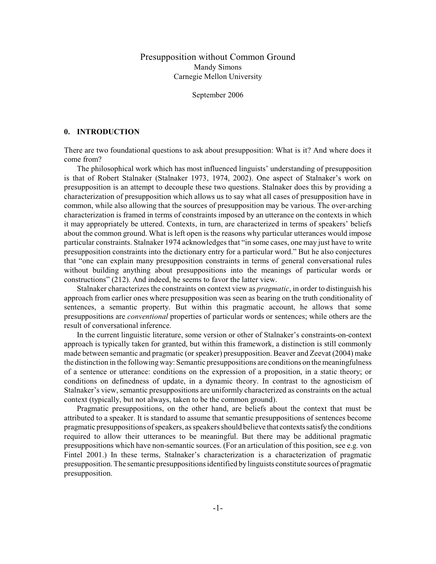# Presupposition without Common Ground Mandy Simons Carnegie Mellon University

September 2006

## **0. INTRODUCTION**

There are two foundational questions to ask about presupposition: What is it? And where does it come from?

The philosophical work which has most influenced linguists' understanding of presupposition is that of Robert Stalnaker (Stalnaker 1973, 1974, 2002). One aspect of Stalnaker's work on presupposition is an attempt to decouple these two questions. Stalnaker does this by providing a characterization of presupposition which allows us to say what all cases of presupposition have in common, while also allowing that the sources of presupposition may be various. The over-arching characterization is framed in terms of constraints imposed by an utterance on the contexts in which it may appropriately be uttered. Contexts, in turn, are characterized in terms of speakers' beliefs about the common ground. What is left open is the reasons why particular utterances would impose particular constraints. Stalnaker 1974 acknowledges that "in some cases, one may just have to write presupposition constraints into the dictionary entry for a particular word." But he also conjectures that "one can explain many presupposition constraints in terms of general conversational rules without building anything about presuppositions into the meanings of particular words or constructions" (212). And indeed, he seems to favor the latter view.

Stalnaker characterizes the constraints on context view as *pragmatic*, in order to distinguish his approach from earlier ones where presupposition was seen as bearing on the truth conditionality of sentences, a semantic property. But within this pragmatic account, he allows that some presuppositions are *conventional* properties of particular words or sentences; while others are the result of conversational inference.

In the current linguistic literature, some version or other of Stalnaker's constraints-on-context approach is typically taken for granted, but within this framework, a distinction is still commonly made between semantic and pragmatic (or speaker) presupposition. Beaver and Zeevat (2004) make the distinction in the following way: Semantic presuppositions are conditions on the meaningfulness of a sentence or utterance: conditions on the expression of a proposition, in a static theory; or conditions on definedness of update, in a dynamic theory. In contrast to the agnosticism of Stalnaker's view, semantic presuppositions are uniformly characterized as constraints on the actual context (typically, but not always, taken to be the common ground).

Pragmatic presuppositions, on the other hand, are beliefs about the context that must be attributed to a speaker. It is standard to assume that semantic presuppositions of sentences become pragmatic presuppositions of speakers, as speakers should believe that contexts satisfy the conditions required to allow their utterances to be meaningful. But there may be additional pragmatic presuppositions which have non-semantic sources. (For an articulation of this position, see e.g. von Fintel 2001.) In these terms, Stalnaker's characterization is a characterization of pragmatic presupposition. The semantic presuppositions identified by linguists constitute sources of pragmatic presupposition.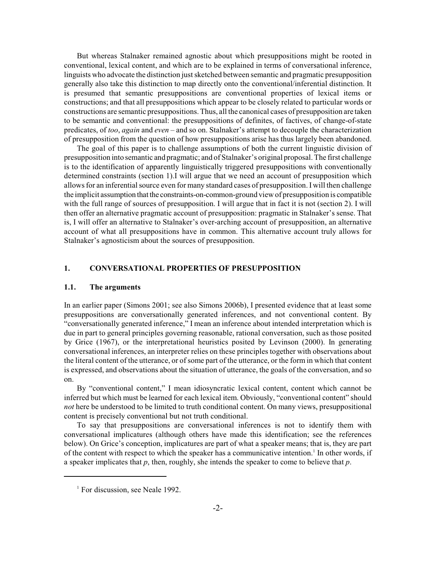But whereas Stalnaker remained agnostic about which presuppositions might be rooted in conventional, lexical content, and which are to be explained in terms of conversational inference, linguists who advocate the distinction just sketched between semantic and pragmatic presupposition generally also take this distinction to map directly onto the conventional/inferential distinction. It is presumed that semantic presuppositions are conventional properties of lexical items or constructions; and that all presuppositions which appear to be closely related to particular words or constructions are semantic presuppositions. Thus, all the canonical cases of presupposition are taken to be semantic and conventional: the presuppositions of definites, of factives, of change-of-state predicates, of *too*, *again* and *even* – and so on. Stalnaker's attempt to decouple the characterization of presupposition from the question of how presuppositions arise has thus largely been abandoned.

The goal of this paper is to challenge assumptions of both the current linguistic division of presupposition into semantic and pragmatic; and of Stalnaker's original proposal. The first challenge is to the identification of apparently linguistically triggered presuppositions with conventionally determined constraints (section 1).I will argue that we need an account of presupposition which allows for an inferential source even for many standard cases of presupposition. I will then challenge the implicit assumption that the constraints-on-common-ground view of presupposition is compatible with the full range of sources of presupposition. I will argue that in fact it is not (section 2). I will then offer an alternative pragmatic account of presupposition: pragmatic in Stalnaker's sense. That is, I will offer an alternative to Stalnaker's over-arching account of presupposition, an alternative account of what all presuppositions have in common. This alternative account truly allows for Stalnaker's agnosticism about the sources of presupposition.

### **1. CONVERSATIONAL PROPERTIES OF PRESUPPOSITION**

#### **1.1. The arguments**

In an earlier paper (Simons 2001; see also Simons 2006b), I presented evidence that at least some presuppositions are conversationally generated inferences, and not conventional content. By "conversationally generated inference," I mean an inference about intended interpretation which is due in part to general principles governing reasonable, rational conversation, such as those posited by Grice (1967), or the interpretational heuristics posited by Levinson (2000). In generating conversational inferences, an interpreter relies on these principles together with observations about the literal content of the utterance, or of some part of the utterance, or the form in which that content is expressed, and observations about the situation of utterance, the goals of the conversation, and so on.

By "conventional content," I mean idiosyncratic lexical content, content which cannot be inferred but which must be learned for each lexical item. Obviously, "conventional content" should *not* here be understood to be limited to truth conditional content. On many views, presuppositional content is precisely conventional but not truth conditional.

To say that presuppositions are conversational inferences is not to identify them with conversational implicatures (although others have made this identification; see the references below). On Grice's conception, implicatures are part of what a speaker means; that is, they are part of the content with respect to which the speaker has a communicative intention.<sup>1</sup> In other words, if a speaker implicates that *p*, then, roughly, she intends the speaker to come to believe that *p*.

 $<sup>1</sup>$  For discussion, see Neale 1992.</sup>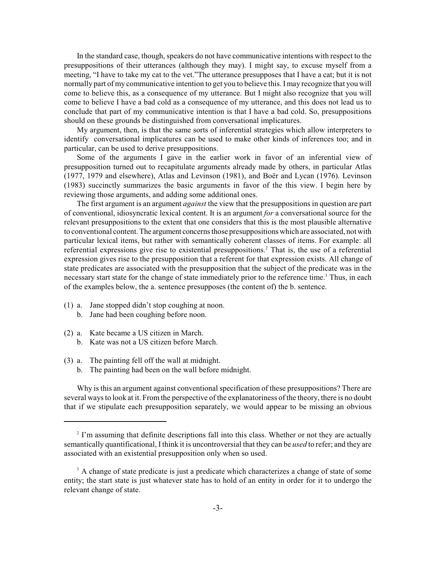In the standard case, though, speakers do not have communicative intentions with respect to the presuppositions of their utterances (although they may). I might say, to excuse myself from a meeting, "I have to take my cat to the vet."The utterance presupposes that I have a cat; but it is not normally part of my communicative intention to get you to believe this. I may recognize that you will come to believe this, as a consequence of my utterance. But I might also recognize that you will come to believe I have a bad cold as a consequence of my utterance, and this does not lead us to conclude that part of my communicative intention is that I have a bad cold. So, presuppositions should on these grounds be distinguished from conversational implicatures.

My argument, then, is that the same sorts of inferential strategies which allow interpreters to identify conversational implicatures can be used to make other kinds of inferences too; and in particular, can be used to derive presuppositions.

Some of the arguments I gave in the earlier work in favor of an inferential view of presupposition turned out to recapitulate arguments already made by others, in particular Atlas (1977, 1979 and elsewhere), Atlas and Levinson (1981), and Boër and Lycan (1976). Levinson (1983) succinctly summarizes the basic arguments in favor of the this view. I begin here by reviewing those arguments, and adding some additional ones.

The first argument is an argument *against* the view that the presuppositions in question are part of conventional, idiosyncratic lexical content. It is an argument *for* a conversational source for the relevant presuppositions to the extent that one considers that this is the most plausible alternative to conventional content. The argument concerns those presuppositions which are associated, not with particular lexical items, but rather with semantically coherent classes of items. For example: all referential expressions give rise to existential presuppositions.<sup>2</sup> That is, the use of a referential expression gives rise to the presupposition that a referent for that expression exists. All change of state predicates are associated with the presupposition that the subject of the predicate was in the necessary start state for the change of state immediately prior to the reference time.<sup>3</sup> Thus, in each of the examples below, the a. sentence presupposes (the content of) the b. sentence.

- (1) a. Jane stopped didn't stop coughing at noon.
	- b. Jane had been coughing before noon.
- (2) a. Kate became a US citizen in March.
	- b. Kate was not a US citizen before March.
- (3) a. The painting fell off the wall at midnight.
	- b. The painting had been on the wall before midnight.

Why is this an argument against conventional specification of these presuppositions? There are several ways to look at it. From the perspective of the explanatoriness of the theory, there is no doubt that if we stipulate each presupposition separately, we would appear to be missing an obvious

 $2<sup>2</sup>$  I'm assuming that definite descriptions fall into this class. Whether or not they are actually semantically quantificational, I think it is uncontroversial that they can be *used* to refer; and they are associated with an existential presupposition only when so used.

<sup>&</sup>lt;sup>3</sup> A change of state predicate is just a predicate which characterizes a change of state of some entity; the start state is just whatever state has to hold of an entity in order for it to undergo the relevant change of state.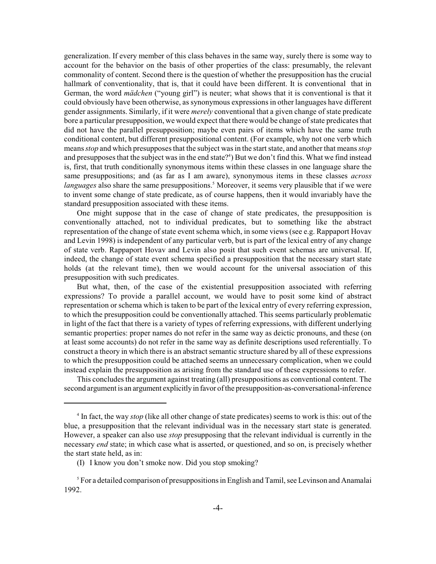generalization. If every member of this class behaves in the same way, surely there is some way to account for the behavior on the basis of other properties of the class: presumably, the relevant commonality of content. Second there is the question of whether the presupposition has the crucial hallmark of conventionality, that is, that it could have been different. It is conventional that in German, the word *mädchen* ("young girl") is neuter; what shows that it is conventional is that it could obviously have been otherwise, as synonymous expressions in other languages have different gender assignments. Similarly, if it were *merely* conventional that a given change of state predicate bore a particular presupposition, we would expect that there would be change of state predicates that did not have the parallel presupposition; maybe even pairs of items which have the same truth conditional content, but different presuppositional content. (For example, why not one verb which means *stop* and which presupposes that the subject was in the start state, and another that means *stop* and presupposes that the subject was in the end state?<sup>4</sup>) But we don't find this. What we find instead is, first, that truth conditionally synonymous items within these classes in one language share the same presuppositions; and (as far as I am aware), synonymous items in these classes *across* languages also share the same presuppositions.<sup>5</sup> Moreover, it seems very plausible that if we were to invent some change of state predicate, as of course happens, then it would invariably have the standard presupposition associated with these items.

One might suppose that in the case of change of state predicates, the presupposition is conventionally attached, not to individual predicates, but to something like the abstract representation of the change of state event schema which, in some views (see e.g. Rappaport Hovav and Levin 1998) is independent of any particular verb, but is part of the lexical entry of any change of state verb. Rappaport Hovav and Levin also posit that such event schemas are universal. If, indeed, the change of state event schema specified a presupposition that the necessary start state holds (at the relevant time), then we would account for the universal association of this presupposition with such predicates.

But what, then, of the case of the existential presupposition associated with referring expressions? To provide a parallel account, we would have to posit some kind of abstract representation or schema which is taken to be part of the lexical entry of every referring expression, to which the presupposition could be conventionally attached. This seems particularly problematic in light of the fact that there is a variety of types of referring expressions, with different underlying semantic properties: proper names do not refer in the same way as deictic pronouns, and these (on at least some accounts) do not refer in the same way as definite descriptions used referentially. To construct a theory in which there is an abstract semantic structure shared by all of these expressions to which the presupposition could be attached seems an unnecessary complication, when we could instead explain the presupposition as arising from the standard use of these expressions to refer.

This concludes the argument against treating (all) presuppositions as conventional content. The second argument is an argument explicitly in favor of the presupposition-as-conversational-inference

<sup>&</sup>lt;sup>4</sup> In fact, the way *stop* (like all other change of state predicates) seems to work is this: out of the blue, a presupposition that the relevant individual was in the necessary start state is generated. However, a speaker can also use *stop* presupposing that the relevant individual is currently in the necessary *end* state; in which case what is asserted, or questioned, and so on, is precisely whether the start state held, as in:

<sup>(</sup>I) I know you don't smoke now. Did you stop smoking?

 $\delta$  For a detailed comparison of presuppositions in English and Tamil, see Levinson and Anamalai 1992.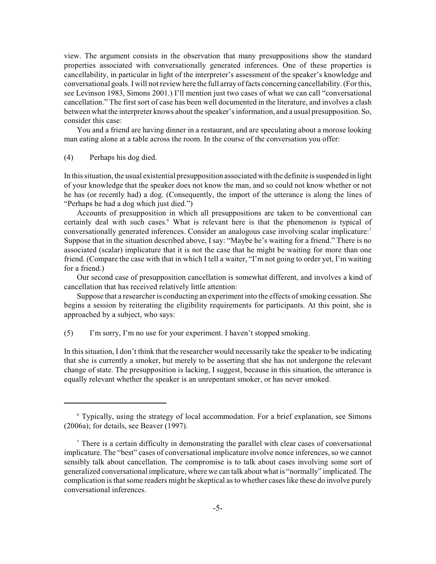view. The argument consists in the observation that many presuppositions show the standard properties associated with conversationally generated inferences. One of these properties is cancellability, in particular in light of the interpreter's assessment of the speaker's knowledge and conversational goals. I will not review here the full array of facts concerning cancellability. (For this, see Levinson 1983, Simons 2001.) I'll mention just two cases of what we can call "conversational cancellation." The first sort of case has been well documented in the literature, and involves a clash between what the interpreter knows about the speaker's information, and a usual presupposition. So, consider this case:

You and a friend are having dinner in a restaurant, and are speculating about a morose looking man eating alone at a table across the room. In the course of the conversation you offer:

## (4) Perhaps his dog died.

In this situation, the usual existential presupposition associated with the definite is suspended in light of your knowledge that the speaker does not know the man, and so could not know whether or not he has (or recently had) a dog. (Consequently, the import of the utterance is along the lines of "Perhaps he had a dog which just died.")

Accounts of presupposition in which all presuppositions are taken to be conventional can certainly deal with such cases.<sup>6</sup> What is relevant here is that the phenomenon is typical of conversationally generated inferences. Consider an analogous case involving scalar implicature:<sup>7</sup> Suppose that in the situation described above, I say: "Maybe he's waiting for a friend." There is no associated (scalar) implicature that it is not the case that he might be waiting for more than one friend. (Compare the case with that in which I tell a waiter, "I'm not going to order yet, I'm waiting for a friend.)

Our second case of presupposition cancellation is somewhat different, and involves a kind of cancellation that has received relatively little attention:

Suppose that a researcher is conducting an experiment into the effects of smoking cessation. She begins a session by reiterating the eligibility requirements for participants. At this point, she is approached by a subject, who says:

(5) I'm sorry, I'm no use for your experiment. I haven't stopped smoking.

In this situation, I don't think that the researcher would necessarily take the speaker to be indicating that she is currently a smoker, but merely to be asserting that she has not undergone the relevant change of state. The presupposition is lacking, I suggest, because in this situation, the utterance is equally relevant whether the speaker is an unrepentant smoker, or has never smoked.

<sup>&</sup>lt;sup>6</sup> Typically, using the strategy of local accommodation. For a brief explanation, see Simons (2006a); for details, see Beaver (1997).

<sup>&</sup>lt;sup>7</sup> There is a certain difficulty in demonstrating the parallel with clear cases of conversational implicature. The "best" cases of conversational implicature involve nonce inferences, so we cannot sensibly talk about cancellation. The compromise is to talk about cases involving some sort of generalized conversational implicature, where we can talk about what is "normally" implicated. The complication is that some readers might be skeptical as to whether cases like these do involve purely conversational inferences.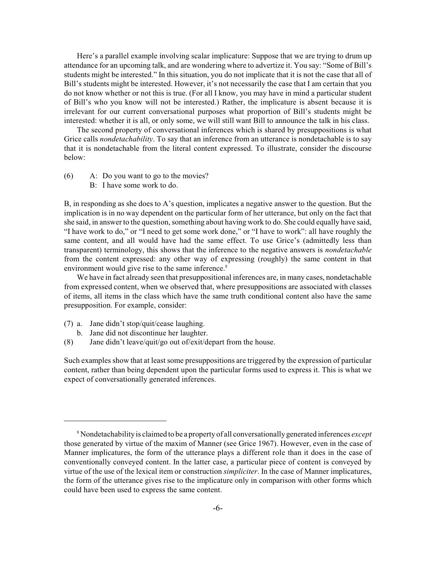Here's a parallel example involving scalar implicature: Suppose that we are trying to drum up attendance for an upcoming talk, and are wondering where to advertize it. You say: "Some of Bill's students might be interested." In this situation, you do not implicate that it is not the case that all of Bill's students might be interested. However, it's not necessarily the case that I am certain that you do not know whether or not this is true. (For all I know, you may have in mind a particular student of Bill's who you know will not be interested.) Rather, the implicature is absent because it is irrelevant for our current conversational purposes what proportion of Bill's students might be interested: whether it is all, or only some, we will still want Bill to announce the talk in his class.

The second property of conversational inferences which is shared by presuppositions is what Grice calls *nondetachability*. To say that an inference from an utterance is nondetachable is to say that it is nondetachable from the literal content expressed. To illustrate, consider the discourse below:

- (6) A: Do you want to go to the movies?
	- B: I have some work to do.

B, in responding as she does to A's question, implicates a negative answer to the question. But the implication is in no way dependent on the particular form of her utterance, but only on the fact that she said, in answer to the question, something about having work to do. She could equally have said, "I have work to do," or "I need to get some work done," or "I have to work": all have roughly the same content, and all would have had the same effect. To use Grice's (admittedly less than transparent) terminology, this shows that the inference to the negative answers is *nondetachable* from the content expressed: any other way of expressing (roughly) the same content in that environment would give rise to the same inference.<sup>8</sup>

We have in fact already seen that presuppositional inferences are, in many cases, nondetachable from expressed content, when we observed that, where presuppositions are associated with classes of items, all items in the class which have the same truth conditional content also have the same presupposition. For example, consider:

- (7) a. Jane didn't stop/quit/cease laughing.
	- b. Jane did not discontinue her laughter.
- (8) Jane didn't leave/quit/go out of/exit/depart from the house.

Such examples show that at least some presuppositions are triggered by the expression of particular content, rather than being dependent upon the particular forms used to express it. This is what we expect of conversationally generated inferences.

Nondetachability is claimed to be a property of all conversationally generated inferences *except* <sup>8</sup> those generated by virtue of the maxim of Manner (see Grice 1967). However, even in the case of Manner implicatures, the form of the utterance plays a different role than it does in the case of conventionally conveyed content. In the latter case, a particular piece of content is conveyed by virtue of the use of the lexical item or construction *simpliciter*. In the case of Manner implicatures, the form of the utterance gives rise to the implicature only in comparison with other forms which could have been used to express the same content.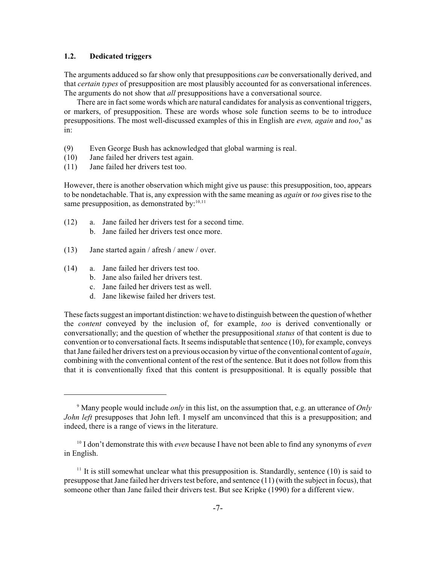## **1.2. Dedicated triggers**

The arguments adduced so far show only that presuppositions *can* be conversationally derived, and that *certain types* of presupposition are most plausibly accounted for as conversational inferences. The arguments do not show that *all* presuppositions have a conversational source.

There are in fact some words which are natural candidates for analysis as conventional triggers, or markers, of presupposition. These are words whose sole function seems to be to introduce presuppositions. The most well-discussed examples of this in English are *even, again* and *too*,<sup>9</sup> as in:

- (9) Even George Bush has acknowledged that global warming is real.
- (10) Jane failed her drivers test again.
- (11) Jane failed her drivers test too.

However, there is another observation which might give us pause: this presupposition, too, appears to be nondetachable. That is, any expression with the same meaning as *again* or *too* gives rise to the same presupposition, as demonstrated by:<sup>10,11</sup>

- (12) a. Jane failed her drivers test for a second time. b. Jane failed her drivers test once more.
	-
- (13) Jane started again / afresh / anew / over.
- (14) a. Jane failed her drivers test too.
	- b. Jane also failed her drivers test.
	- c. Jane failed her drivers test as well.
	- d. Jane likewise failed her drivers test.

These facts suggest an important distinction: we have to distinguish between the question of whether the *content* conveyed by the inclusion of, for example, *too* is derived conventionally or conversationally; and the question of whether the presuppositional *status* of that content is due to convention or to conversational facts. It seems indisputable that sentence  $(10)$ , for example, conveys that Jane failed her drivers test on a previous occasion by virtue of the conventional content of *again*, combining with the conventional content of the rest of the sentence. But it does not follow from this that it is conventionally fixed that this content is presuppositional. It is equally possible that

Many people would include *only* in this list, on the assumption that, e.g. an utterance of *Only* 9 *John left* presupposes that John left. I myself am unconvinced that this is a presupposition; and indeed, there is a range of views in the literature.

<sup>&</sup>lt;sup>10</sup> I don't demonstrate this with *even* because I have not been able to find any synonyms of *even* in English.

 $11$  It is still somewhat unclear what this presupposition is. Standardly, sentence (10) is said to presuppose that Jane failed her drivers test before, and sentence (11) (with the subject in focus), that someone other than Jane failed their drivers test. But see Kripke (1990) for a different view.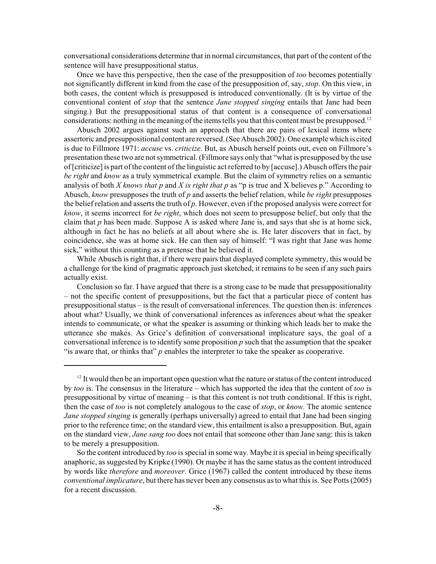conversational considerations determine that in normal circumstances, that part of the content of the sentence will have presuppositional status.

Once we have this perspective, then the case of the presupposition of *too* becomes potentially not significantly different in kind from the case of the presupposition of, say, *stop*. On this view, in both cases, the content which is presupposed is introduced conventionally. (It is by virtue of the conventional content of *stop* that the sentence *Jane stopped singing* entails that Jane had been singing.) But the presuppositional status of that content is a consequence of conversational considerations: nothing in the meaning of the items tells you that this content must be presupposed.<sup>12</sup>

Abusch 2002 argues against such an approach that there are pairs of lexical items where assertoric and presuppositional content are reversed. (See Abusch 2002). One example which is cited is due to Fillmore 1971: *accuse* vs. *criticize*. But, as Abusch herself points out, even on Fillmore's presentation these two are not symmetrical. (Fillmore says only that "what is presupposed by the use of [criticize] is part of the content of the linguistic act referred to by [accuse].) Abusch offers the pair *be right* and *know* as a truly symmetrical example. But the claim of symmetry relies on a semantic analysis of both *X knows that p* and *X is right that p* as "p is true and X believes p." According to Abusch, *know* presupposes the truth of *p* and asserts the belief relation, while *be right* presupposes the belief relation and asserts the truth of *p*. However, even if the proposed analysis were correct for *know*, it seems incorrect for *be right*, which does not seem to presuppose belief, but only that the claim that *p* has been made. Suppose A is asked where Jane is, and says that she is at home sick, although in fact he has no beliefs at all about where she is. He later discovers that in fact, by coincidence, she was at home sick. He can then say of himself: "I was right that Jane was home sick," without this counting as a pretense that he believed it.

While Abusch is right that, if there were pairs that displayed complete symmetry, this would be a challenge for the kind of pragmatic approach just sketched, it remains to be seen if any such pairs actually exist.

Conclusion so far. I have argued that there is a strong case to be made that presuppositionality – not the specific content of presuppositions, but the fact that a particular piece of content has presuppositional status – is the result of conversational inferences. The question then is: inferences about what? Usually, we think of conversational inferences as inferences about what the speaker intends to communicate, or what the speaker is assuming or thinking which leads her to make the utterance she makes. As Grice's definition of conversational implicature says, the goal of a conversational inference is to identify some proposition *p* such that the assumption that the speaker "is aware that, or thinks that" *p* enables the interpreter to take the speaker as cooperative.

 $12$  It would then be an important open question what the nature or status of the content introduced by *too* is. The consensus in the literature – which has supported the idea that the content of *too* is presuppositional by virtue of meaning – is that this content is not truth conditional. If this is right, then the case of *too* is not completely analogous to the case of *stop*, or *know.* The atomic sentence *Jane stopped singing* is generally (perhaps universally) agreed to entail that Jane had been singing prior to the reference time; on the standard view, this entailment is also a presupposition. But, again on the standard view, *Jane sang too* does not entail that someone other than Jane sang: this is taken to be merely a presupposition.

So the content introduced by *too* is special in some way. Maybe it is special in being specifically anaphoric, as suggested by Kripke (1990). Or maybe it has the same status as the content introduced by words like *therefore* and *moreover*. Grice (1967) called the content introduced by these items *conventional implicature*, but there has never been any consensus as to what this is. See Potts (2005) for a recent discussion.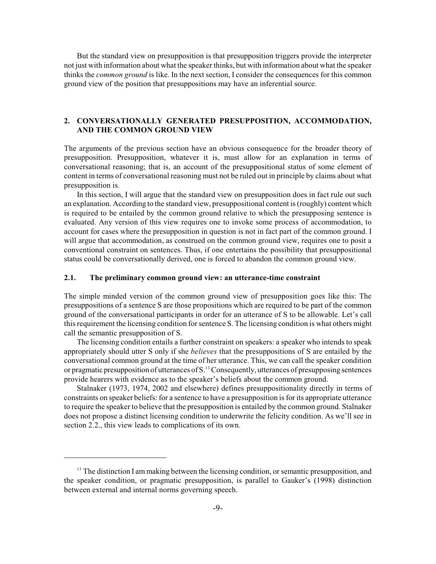But the standard view on presupposition is that presupposition triggers provide the interpreter not just with information about what the speaker thinks, but with information about what the speaker thinks the *common ground* is like. In the next section, I consider the consequences for this common ground view of the position that presuppositions may have an inferential source.

## **2. CONVERSATIONALLY GENERATED PRESUPPOSITION, ACCOMMODATION, AND THE COMMON GROUND VIEW**

The arguments of the previous section have an obvious consequence for the broader theory of presupposition. Presupposition, whatever it is, must allow for an explanation in terms of conversational reasoning; that is, an account of the presuppositional status of some element of content in terms of conversational reasoning must not be ruled out in principle by claims about what presupposition is.

In this section, I will argue that the standard view on presupposition does in fact rule out such an explanation. According to the standard view, presuppositional content is (roughly) content which is required to be entailed by the common ground relative to which the presupposing sentence is evaluated. Any version of this view requires one to invoke some process of accommodation, to account for cases where the presupposition in question is not in fact part of the common ground. I will argue that accommodation, as construed on the common ground view, requires one to posit a conventional constraint on sentences. Thus, if one entertains the possibility that presuppositional status could be conversationally derived, one is forced to abandon the common ground view.

## **2.1. The preliminary common ground view: an utterance-time constraint**

The simple minded version of the common ground view of presupposition goes like this: The presuppositions of a sentence S are those propositions which are required to be part of the common ground of the conversational participants in order for an utterance of S to be allowable. Let's call this requirement the licensing condition for sentence S. The licensing condition is what others might call the semantic presupposition of S.

The licensing condition entails a further constraint on speakers: a speaker who intends to speak appropriately should utter S only if she *believes* that the presuppositions of S are entailed by the conversational common ground at the time of her utterance. This, we can call the speaker condition or pragmatic presupposition of utterances of  $S<sup>13</sup>$  Consequently, utterances of presupposing sentences provide hearers with evidence as to the speaker's beliefs about the common ground.

Stalnaker (1973, 1974, 2002 and elsewhere) defines presuppositionality directly in terms of constraints on speaker beliefs: for a sentence to have a presupposition is for its appropriate utterance to require the speaker to believe that the presupposition is entailed by the common ground. Stalnaker does not propose a distinct licensing condition to underwrite the felicity condition. As we'll see in section 2.2., this view leads to complications of its own.

 $13$  The distinction I am making between the licensing condition, or semantic presupposition, and the speaker condition, or pragmatic presupposition, is parallel to Gauker's (1998) distinction between external and internal norms governing speech.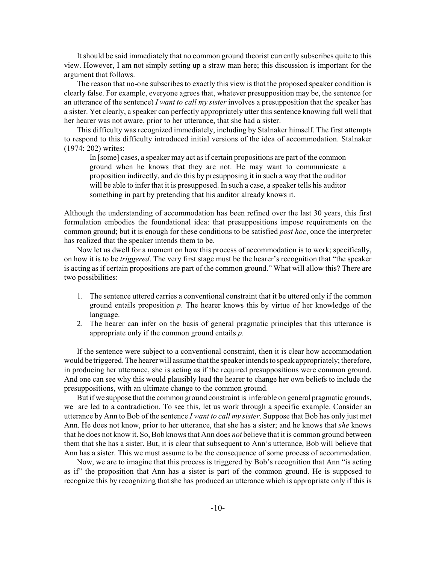It should be said immediately that no common ground theorist currently subscribes quite to this view. However, I am not simply setting up a straw man here; this discussion is important for the argument that follows.

The reason that no-one subscribes to exactly this view is that the proposed speaker condition is clearly false. For example, everyone agrees that, whatever presupposition may be, the sentence (or an utterance of the sentence) *I want to call my sister* involves a presupposition that the speaker has a sister. Yet clearly, a speaker can perfectly appropriately utter this sentence knowing full well that her hearer was not aware, prior to her utterance, that she had a sister.

This difficulty was recognized immediately, including by Stalnaker himself. The first attempts to respond to this difficulty introduced initial versions of the idea of accommodation. Stalnaker (1974: 202) writes:

In [some] cases, a speaker may act as if certain propositions are part of the common ground when he knows that they are not. He may want to communicate a proposition indirectly, and do this by presupposing it in such a way that the auditor will be able to infer that it is presupposed. In such a case, a speaker tells his auditor something in part by pretending that his auditor already knows it.

Although the understanding of accommodation has been refined over the last 30 years, this first formulation embodies the foundational idea: that presuppositions impose requirements on the common ground; but it is enough for these conditions to be satisfied *post hoc*, once the interpreter has realized that the speaker intends them to be.

Now let us dwell for a moment on how this process of accommodation is to work; specifically, on how it is to be *triggered*. The very first stage must be the hearer's recognition that "the speaker is acting as if certain propositions are part of the common ground." What will allow this? There are two possibilities:

- 1. The sentence uttered carries a conventional constraint that it be uttered only if the common ground entails proposition *p*. The hearer knows this by virtue of her knowledge of the language.
- 2. The hearer can infer on the basis of general pragmatic principles that this utterance is appropriate only if the common ground entails *p*.

If the sentence were subject to a conventional constraint, then it is clear how accommodation would be triggered. The hearer will assume that the speaker intends to speak appropriately; therefore, in producing her utterance, she is acting as if the required presuppositions were common ground. And one can see why this would plausibly lead the hearer to change her own beliefs to include the presuppositions, with an ultimate change to the common ground.

But if we suppose that the common ground constraint is inferable on general pragmatic grounds, we are led to a contradiction. To see this, let us work through a specific example. Consider an utterance by Ann to Bob of the sentence *I want to call my sister*. Suppose that Bob has only just met Ann. He does not know, prior to her utterance, that she has a sister; and he knows that *she* knows that he does not know it. So, Bob knows that Ann does *not* believe that it is common ground between them that she has a sister. But, it is clear that subsequent to Ann's utterance, Bob will believe that Ann has a sister. This we must assume to be the consequence of some process of accommodation.

Now, we are to imagine that this process is triggered by Bob's recognition that Ann "is acting as if" the proposition that Ann has a sister is part of the common ground. He is supposed to recognize this by recognizing that she has produced an utterance which is appropriate only if this is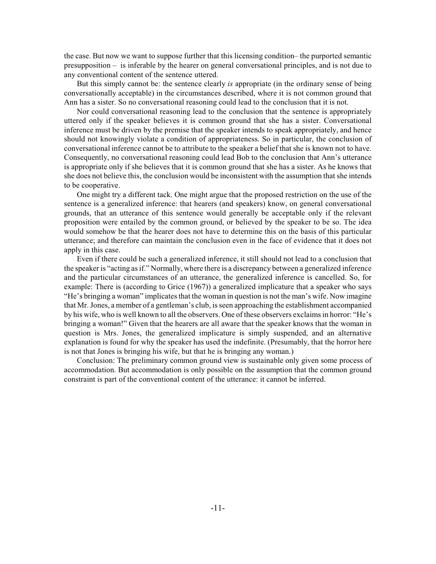the case. But now we want to suppose further that this licensing condition– the purported semantic presupposition – is inferable by the hearer on general conversational principles, and is not due to any conventional content of the sentence uttered.

But this simply cannot be: the sentence clearly *is* appropriate (in the ordinary sense of being conversationally acceptable) in the circumstances described, where it is not common ground that Ann has a sister. So no conversational reasoning could lead to the conclusion that it is not.

Nor could conversational reasoning lead to the conclusion that the sentence is appropriately uttered only if the speaker believes it is common ground that she has a sister. Conversational inference must be driven by the premise that the speaker intends to speak appropriately, and hence should not knowingly violate a condition of appropriateness. So in particular, the conclusion of conversational inference cannot be to attribute to the speaker a belief that she is known not to have. Consequently, no conversational reasoning could lead Bob to the conclusion that Ann's utterance is appropriate only if she believes that it is common ground that she has a sister. As he knows that she does not believe this, the conclusion would be inconsistent with the assumption that she intends to be cooperative.

One might try a different tack. One might argue that the proposed restriction on the use of the sentence is a generalized inference: that hearers (and speakers) know, on general conversational grounds, that an utterance of this sentence would generally be acceptable only if the relevant proposition were entailed by the common ground, or believed by the speaker to be so. The idea would somehow be that the hearer does not have to determine this on the basis of this particular utterance; and therefore can maintain the conclusion even in the face of evidence that it does not apply in this case.

Even if there could be such a generalized inference, it still should not lead to a conclusion that the speaker is "acting as if." Normally, where there is a discrepancy between a generalized inference and the particular circumstances of an utterance, the generalized inference is cancelled. So, for example: There is (according to Grice (1967)) a generalized implicature that a speaker who says "He's bringing a woman" implicates that the woman in question is not the man's wife. Now imagine that Mr. Jones, a member of a gentleman's club, is seen approaching the establishment accompanied by his wife, who is well known to all the observers. One of these observers exclaims in horror: "He's bringing a woman!" Given that the hearers are all aware that the speaker knows that the woman in question is Mrs. Jones, the generalized implicature is simply suspended, and an alternative explanation is found for why the speaker has used the indefinite. (Presumably, that the horror here is not that Jones is bringing his wife, but that he is bringing any woman.)

Conclusion: The preliminary common ground view is sustainable only given some process of accommodation. But accommodation is only possible on the assumption that the common ground constraint is part of the conventional content of the utterance: it cannot be inferred.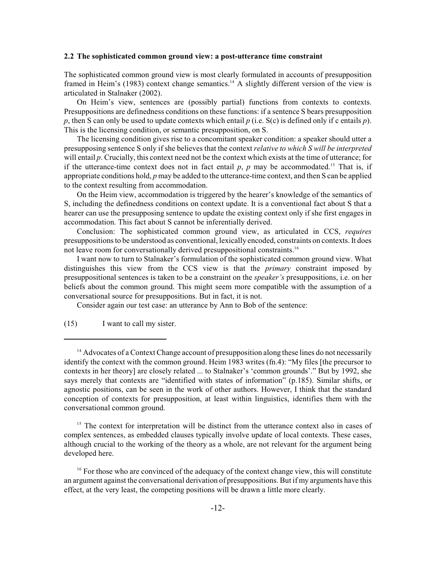#### **2.2 The sophisticated common ground view: a post-utterance time constraint**

The sophisticated common ground view is most clearly formulated in accounts of presupposition framed in Heim's (1983) context change semantics.<sup>14</sup> A slightly different version of the view is articulated in Stalnaker (2002).

On Heim's view, sentences are (possibly partial) functions from contexts to contexts. Presuppositions are definedness conditions on these functions: if a sentence S bears presupposition *p*, then S can only be used to update contexts which entail *p* (i.e. S(c) is defined only if c entails *p*). This is the licensing condition, or semantic presupposition, on S.

The licensing condition gives rise to a concomitant speaker condition: a speaker should utter a presupposing sentence S only if she believes that the context *relative to which S will be interpreted* will entail *p*. Crucially, this context need not be the context which exists at the time of utterance; for if the utterance-time context does not in fact entail  $p$ ,  $p$  may be accommodated.<sup>15</sup> That is, if appropriate conditions hold, *p* may be added to the utterance-time context, and then S can be applied to the context resulting from accommodation.

On the Heim view, accommodation is triggered by the hearer's knowledge of the semantics of S, including the definedness conditions on context update. It is a conventional fact about S that a hearer can use the presupposing sentence to update the existing context only if she first engages in accommodation. This fact about S cannot be inferentially derived.

Conclusion: The sophisticated common ground view, as articulated in CCS, *requires* presuppositions to be understood as conventional, lexically encoded, constraints on contexts. It does not leave room for conversationally derived presuppositional constraints.<sup>16</sup>

I want now to turn to Stalnaker's formulation of the sophisticated common ground view. What distinguishes this view from the CCS view is that the *primary* constraint imposed by presuppositional sentences is taken to be a constraint on the *speaker's* presuppositions, i.e. on her beliefs about the common ground. This might seem more compatible with the assumption of a conversational source for presuppositions. But in fact, it is not.

Consider again our test case: an utterance by Ann to Bob of the sentence:

(15) I want to call my sister.

 $15$  The context for interpretation will be distinct from the utterance context also in cases of complex sentences, as embedded clauses typically involve update of local contexts. These cases, although crucial to the working of the theory as a whole, are not relevant for the argument being developed here.

<sup>16</sup> For those who are convinced of the adequacy of the context change view, this will constitute an argument against the conversational derivation of presuppositions. But if my arguments have this effect, at the very least, the competing positions will be drawn a little more clearly.

 $14$  Advocates of a Context Change account of presupposition along these lines do not necessarily identify the context with the common ground. Heim 1983 writes (fn.4): "My files [the precursor to contexts in her theory] are closely related ... to Stalnaker's 'common grounds'." But by 1992, she says merely that contexts are "identified with states of information" (p.185). Similar shifts, or agnostic positions, can be seen in the work of other authors. However, I think that the standard conception of contexts for presupposition, at least within linguistics, identifies them with the conversational common ground.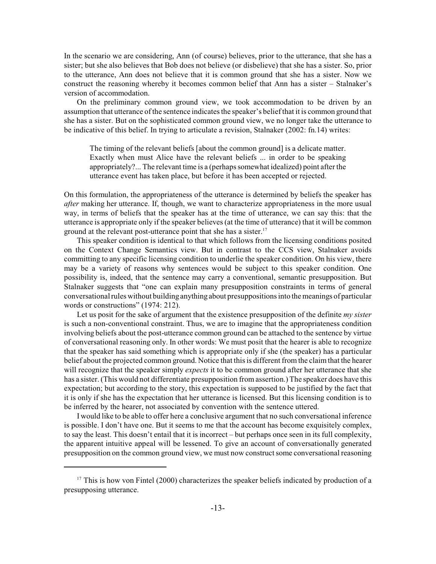In the scenario we are considering, Ann (of course) believes, prior to the utterance, that she has a sister; but she also believes that Bob does not believe (or disbelieve) that she has a sister. So, prior to the utterance, Ann does not believe that it is common ground that she has a sister. Now we construct the reasoning whereby it becomes common belief that Ann has a sister – Stalnaker's version of accommodation.

On the preliminary common ground view, we took accommodation to be driven by an assumption that utterance of the sentence indicates the speaker's belief that it is common ground that she has a sister. But on the sophisticated common ground view, we no longer take the utterance to be indicative of this belief. In trying to articulate a revision, Stalnaker (2002: fn.14) writes:

The timing of the relevant beliefs [about the common ground] is a delicate matter. Exactly when must Alice have the relevant beliefs ... in order to be speaking appropriately?... The relevant time is a (perhaps somewhat idealized) point after the utterance event has taken place, but before it has been accepted or rejected.

On this formulation, the appropriateness of the utterance is determined by beliefs the speaker has *after* making her utterance. If, though, we want to characterize appropriateness in the more usual way, in terms of beliefs that the speaker has at the time of utterance, we can say this: that the utterance is appropriate only if the speaker believes (at the time of utterance) that it will be common ground at the relevant post-utterance point that she has a sister.<sup>17</sup>

This speaker condition is identical to that which follows from the licensing conditions posited on the Context Change Semantics view. But in contrast to the CCS view, Stalnaker avoids committing to any specific licensing condition to underlie the speaker condition. On his view, there may be a variety of reasons why sentences would be subject to this speaker condition. One possibility is, indeed, that the sentence may carry a conventional, semantic presupposition. But Stalnaker suggests that "one can explain many presupposition constraints in terms of general conversational rules without building anything about presuppositions into the meanings of particular words or constructions" (1974: 212).

Let us posit for the sake of argument that the existence presupposition of the definite *my sister* is such a non-conventional constraint. Thus, we are to imagine that the appropriateness condition involving beliefs about the post-utterance common ground can be attached to the sentence by virtue of conversational reasoning only. In other words: We must posit that the hearer is able to recognize that the speaker has said something which is appropriate only if she (the speaker) has a particular belief about the projected common ground. Notice that this is different from the claim that the hearer will recognize that the speaker simply *expects* it to be common ground after her utterance that she has a sister. (This would not differentiate presupposition from assertion.) The speaker does have this expectation; but according to the story, this expectation is supposed to be justified by the fact that it is only if she has the expectation that her utterance is licensed. But this licensing condition is to be inferred by the hearer, not associated by convention with the sentence uttered.

I would like to be able to offer here a conclusive argument that no such conversational inference is possible. I don't have one. But it seems to me that the account has become exquisitely complex, to say the least. This doesn't entail that it is incorrect – but perhaps once seen in its full complexity, the apparent intuitive appeal will be lessened. To give an account of conversationally generated presupposition on the common ground view, we must now construct some conversational reasoning

 $17$  This is how von Fintel (2000) characterizes the speaker beliefs indicated by production of a presupposing utterance.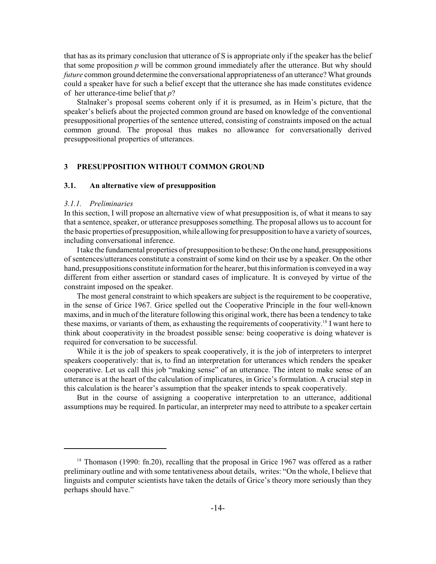that has as its primary conclusion that utterance of S is appropriate only if the speaker has the belief that some proposition *p* will be common ground immediately after the utterance. But why should *future* common ground determine the conversational appropriateness of an utterance? What grounds could a speaker have for such a belief except that the utterance she has made constitutes evidence of her utterance-time belief that *p*?

Stalnaker's proposal seems coherent only if it is presumed, as in Heim's picture, that the speaker's beliefs about the projected common ground are based on knowledge of the conventional presuppositional properties of the sentence uttered, consisting of constraints imposed on the actual common ground. The proposal thus makes no allowance for conversationally derived presuppositional properties of utterances.

## **3 PRESUPPOSITION WITHOUT COMMON GROUND**

### **3.1. An alternative view of presupposition**

## *3.1.1. Preliminaries*

In this section, I will propose an alternative view of what presupposition is, of what it means to say that a sentence, speaker, or utterance presupposes something. The proposal allows us to account for the basic properties of presupposition, while allowing for presupposition to have a variety of sources, including conversational inference.

I take the fundamental properties of presupposition to be these: On the one hand, presuppositions of sentences/utterances constitute a constraint of some kind on their use by a speaker. On the other hand, presuppositions constitute information for the hearer, but this information is conveyed in a way different from either assertion or standard cases of implicature. It is conveyed by virtue of the constraint imposed on the speaker.

The most general constraint to which speakers are subject is the requirement to be cooperative, in the sense of Grice 1967. Grice spelled out the Cooperative Principle in the four well-known maxims, and in much of the literature following this original work, there has been a tendency to take these maxims, or variants of them, as exhausting the requirements of cooperativity.<sup>18</sup> I want here to think about cooperativity in the broadest possible sense: being cooperative is doing whatever is required for conversation to be successful.

While it is the job of speakers to speak cooperatively, it is the job of interpreters to interpret speakers cooperatively: that is, to find an interpretation for utterances which renders the speaker cooperative. Let us call this job "making sense" of an utterance. The intent to make sense of an utterance is at the heart of the calculation of implicatures, in Grice's formulation. A crucial step in this calculation is the hearer's assumption that the speaker intends to speak cooperatively.

But in the course of assigning a cooperative interpretation to an utterance, additional assumptions may be required. In particular, an interpreter may need to attribute to a speaker certain

 $18$  Thomason (1990: fn.20), recalling that the proposal in Grice 1967 was offered as a rather preliminary outline and with some tentativeness about details, writes: "On the whole, I believe that linguists and computer scientists have taken the details of Grice's theory more seriously than they perhaps should have."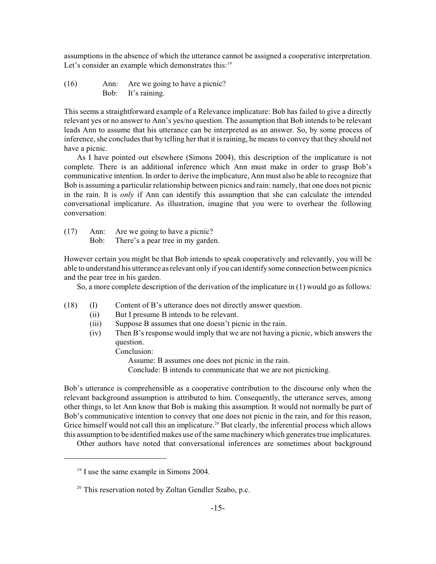assumptions in the absence of which the utterance cannot be assigned a cooperative interpretation. Let's consider an example which demonstrates this:<sup>19</sup>

(16) Ann: Are we going to have a picnic? Bob: It's raining.

This seems a straightforward example of a Relevance implicature: Bob has failed to give a directly relevant yes or no answer to Ann's yes/no question. The assumption that Bob intends to be relevant leads Ann to assume that his utterance can be interpreted as an answer. So, by some process of inference, she concludes that by telling her that it is raining, he means to convey that they should not have a picnic.

As I have pointed out elsewhere (Simons 2004), this description of the implicature is not complete. There is an additional inference which Ann must make in order to grasp Bob's communicative intention. In order to derive the implicature, Ann must also be able to recognize that Bob is assuming a particular relationship between picnics and rain: namely, that one does not picnic in the rain. It is *only* if Ann can identify this assumption that she can calculate the intended conversational implicature. As illustration, imagine that you were to overhear the following conversation:

(17) Ann: Are we going to have a picnic? Bob: There's a pear tree in my garden.

However certain you might be that Bob intends to speak cooperatively and relevantly, you will be able to understand his utterance as relevant only if you can identify some connection between picnics and the pear tree in his garden.

So, a more complete description of the derivation of the implicature in (1) would go as follows:

- (18) (I) Content of B's utterance does not directly answer question.
	- (ii) But I presume B intends to be relevant.
	- (iii) Suppose B assumes that one doesn't picnic in the rain.
	- (iv) Then B's response would imply that we are not having a picnic, which answers the question.

Conclusion:

Assume: B assumes one does not picnic in the rain.

Conclude: B intends to communicate that we are not picnicking.

Bob's utterance is comprehensible as a cooperative contribution to the discourse only when the relevant background assumption is attributed to him. Consequently, the utterance serves, among other things, to let Ann know that Bob is making this assumption. It would not normally be part of Bob's communicative intention to convey that one does not picnic in the rain, and for this reason, Grice himself would not call this an implicature.<sup>20</sup> But clearly, the inferential process which allows this assumption to be identified makes use of the same machinery which generates true implicatures.

Other authors have noted that conversational inferences are sometimes about background

 $19$  I use the same example in Simons 2004.

<sup>&</sup>lt;sup>20</sup> This reservation noted by Zoltan Gendler Szabo, p.c.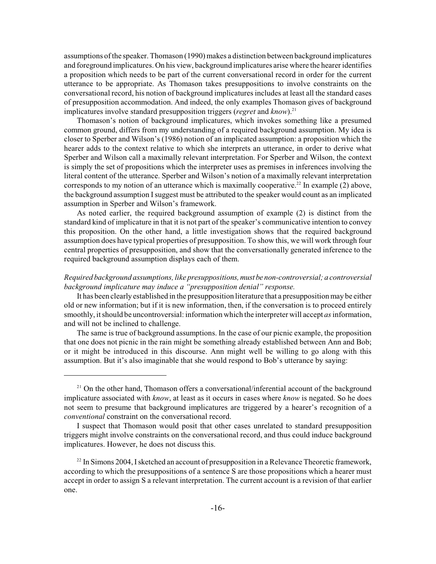assumptions of the speaker. Thomason (1990) makes a distinction between background implicatures and foreground implicatures. On his view, background implicatures arise where the hearer identifies a proposition which needs to be part of the current conversational record in order for the current utterance to be appropriate. As Thomason takes presuppositions to involve constraints on the conversational record, his notion of background implicatures includes at least all the standard cases of presupposition accommodation. And indeed, the only examples Thomason gives of background implicatures involve standard presupposition triggers (*regret* and *know*).<sup>21</sup>

Thomason's notion of background implicatures, which invokes something like a presumed common ground, differs from my understanding of a required background assumption. My idea is closer to Sperber and Wilson's (1986) notion of an implicated assumption: a proposition which the hearer adds to the context relative to which she interprets an utterance, in order to derive what Sperber and Wilson call a maximally relevant interpretation. For Sperber and Wilson, the context is simply the set of propositions which the interpreter uses as premises in inferences involving the literal content of the utterance. Sperber and Wilson's notion of a maximally relevant interpretation corresponds to my notion of an utterance which is maximally cooperative.<sup>22</sup> In example (2) above, the background assumption I suggest must be attributed to the speaker would count as an implicated assumption in Sperber and Wilson's framework.

As noted earlier, the required background assumption of example (2) is distinct from the standard kind of implicature in that it is not part of the speaker's communicative intention to convey this proposition. On the other hand, a little investigation shows that the required background assumption does have typical properties of presupposition. To show this, we will work through four central properties of presupposition, and show that the conversationally generated inference to the required background assumption displays each of them.

## *Required background assumptions, like presuppositions, must be non-controversial; a controversial background implicature may induce a "presupposition denial" response.*

It has been clearly established in the presupposition literature that a presupposition may be either old or new information; but if it is new information, then, if the conversation is to proceed entirely smoothly, it should be uncontroversial: information which the interpreter will accept *as* information, and will not be inclined to challenge.

The same is true of background assumptions. In the case of our picnic example, the proposition that one does not picnic in the rain might be something already established between Ann and Bob; or it might be introduced in this discourse. Ann might well be willing to go along with this assumption. But it's also imaginable that she would respond to Bob's utterance by saying:

 $2<sup>1</sup>$  On the other hand, Thomason offers a conversational/inferential account of the background implicature associated with *know*, at least as it occurs in cases where *know* is negated. So he does not seem to presume that background implicatures are triggered by a hearer's recognition of a *conventional* constraint on the conversational record.

I suspect that Thomason would posit that other cases unrelated to standard presupposition triggers might involve constraints on the conversational record, and thus could induce background implicatures. However, he does not discuss this.

 $22$  In Simons 2004, I sketched an account of presupposition in a Relevance Theoretic framework, according to which the presuppositions of a sentence S are those propositions which a hearer must accept in order to assign S a relevant interpretation. The current account is a revision of that earlier one.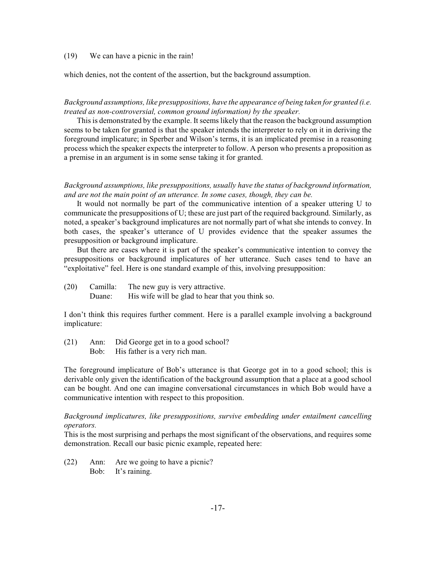## (19) We can have a picnic in the rain!

which denies, not the content of the assertion, but the background assumption.

*Background assumptions, like presuppositions, have the appearance of being taken for granted (i.e. treated as non-controversial, common ground information) by the speaker.*

This is demonstrated by the example. It seems likely that the reason the background assumption seems to be taken for granted is that the speaker intends the interpreter to rely on it in deriving the foreground implicature; in Sperber and Wilson's terms, it is an implicated premise in a reasoning process which the speaker expects the interpreter to follow. A person who presents a proposition as a premise in an argument is in some sense taking it for granted.

*Background assumptions, like presuppositions, usually have the status of background information, and are not the main point of an utterance. In some cases, though, they can be.*

It would not normally be part of the communicative intention of a speaker uttering U to communicate the presuppositions of U; these are just part of the required background. Similarly, as noted, a speaker's background implicatures are not normally part of what she intends to convey. In both cases, the speaker's utterance of U provides evidence that the speaker assumes the presupposition or background implicature.

But there are cases where it is part of the speaker's communicative intention to convey the presuppositions or background implicatures of her utterance. Such cases tend to have an "exploitative" feel. Here is one standard example of this, involving presupposition:

(20) Camilla: The new guy is very attractive. Duane: His wife will be glad to hear that you think so.

I don't think this requires further comment. Here is a parallel example involving a background implicature:

(21) Ann: Did George get in to a good school? Bob: His father is a very rich man.

The foreground implicature of Bob's utterance is that George got in to a good school; this is derivable only given the identification of the background assumption that a place at a good school can be bought. And one can imagine conversational circumstances in which Bob would have a communicative intention with respect to this proposition.

*Background implicatures, like presuppositions, survive embedding under entailment cancelling operators.*

This is the most surprising and perhaps the most significant of the observations, and requires some demonstration. Recall our basic picnic example, repeated here:

(22) Ann: Are we going to have a picnic? Bob: It's raining.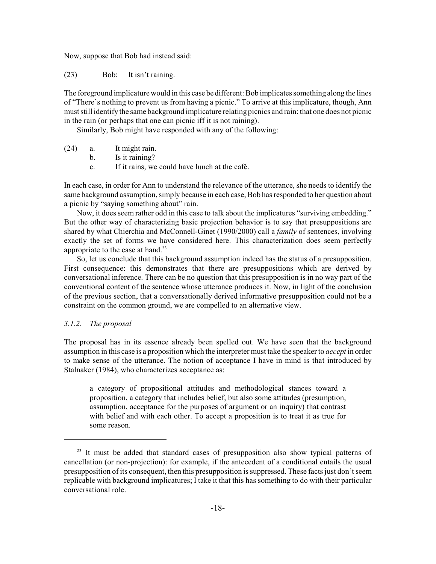Now, suppose that Bob had instead said:

(23) Bob: It isn't raining.

The foreground implicature would in this case be different: Bob implicates something along the lines of "There's nothing to prevent us from having a picnic." To arrive at this implicature, though, Ann must still identify the same background implicature relating picnics and rain: that one does not picnic in the rain (or perhaps that one can picnic iff it is not raining).

Similarly, Bob might have responded with any of the following:

- (24) a. It might rain.
	- b. Is it raining?
	- c. If it rains, we could have lunch at the café.

In each case, in order for Ann to understand the relevance of the utterance, she needs to identify the same background assumption, simply because in each case, Bob has responded to her question about a picnic by "saying something about" rain.

Now, it does seem rather odd in this case to talk about the implicatures "surviving embedding." But the other way of characterizing basic projection behavior is to say that presuppositions are shared by what Chierchia and McConnell-Ginet (1990/2000) call a *family* of sentences, involving exactly the set of forms we have considered here. This characterization does seem perfectly appropriate to the case at hand.<sup>23</sup>

So, let us conclude that this background assumption indeed has the status of a presupposition. First consequence: this demonstrates that there are presuppositions which are derived by conversational inference. There can be no question that this presupposition is in no way part of the conventional content of the sentence whose utterance produces it. Now, in light of the conclusion of the previous section, that a conversationally derived informative presupposition could not be a constraint on the common ground, we are compelled to an alternative view.

# *3.1.2. The proposal*

The proposal has in its essence already been spelled out. We have seen that the background assumption in this case is a proposition which the interpreter must take the speaker to *accept* in order to make sense of the utterance. The notion of acceptance I have in mind is that introduced by Stalnaker (1984), who characterizes acceptance as:

a category of propositional attitudes and methodological stances toward a proposition, a category that includes belief, but also some attitudes (presumption, assumption, acceptance for the purposes of argument or an inquiry) that contrast with belief and with each other. To accept a proposition is to treat it as true for some reason.

<sup>&</sup>lt;sup>23</sup> It must be added that standard cases of presupposition also show typical patterns of cancellation (or non-projection): for example, if the antecedent of a conditional entails the usual presupposition of its consequent, then this presupposition is suppressed. These facts just don't seem replicable with background implicatures; I take it that this has something to do with their particular conversational role.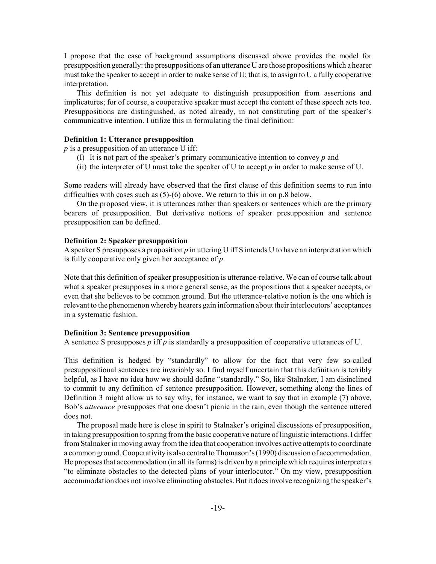I propose that the case of background assumptions discussed above provides the model for presupposition generally: the presuppositions of an utterance U are those propositions which a hearer must take the speaker to accept in order to make sense of U; that is, to assign to U a fully cooperative interpretation.

This definition is not yet adequate to distinguish presupposition from assertions and implicatures; for of course, a cooperative speaker must accept the content of these speech acts too. Presuppositions are distinguished, as noted already, in not constituting part of the speaker's communicative intention. I utilize this in formulating the final definition:

## **Definition 1: Utterance presupposition**

*p* is a presupposition of an utterance U iff:

- (I) It is not part of the speaker's primary communicative intention to convey *p* and
- (ii) the interpreter of U must take the speaker of U to accept *p* in order to make sense of U.

Some readers will already have observed that the first clause of this definition seems to run into difficulties with cases such as (5)-(6) above. We return to this in on p.8 below.

On the proposed view, it is utterances rather than speakers or sentences which are the primary bearers of presupposition. But derivative notions of speaker presupposition and sentence presupposition can be defined.

## **Definition 2: Speaker presupposition**

A speaker S presupposes a proposition *p* in uttering U iff S intends U to have an interpretation which is fully cooperative only given her acceptance of *p*.

Note that this definition of speaker presupposition is utterance-relative. We can of course talk about what a speaker presupposes in a more general sense, as the propositions that a speaker accepts, or even that she believes to be common ground. But the utterance-relative notion is the one which is relevant to the phenomenon whereby hearers gain information about their interlocutors' acceptances in a systematic fashion.

## **Definition 3: Sentence presupposition**

A sentence S presupposes *p* iff *p* is standardly a presupposition of cooperative utterances of U.

This definition is hedged by "standardly" to allow for the fact that very few so-called presuppositional sentences are invariably so. I find myself uncertain that this definition is terribly helpful, as I have no idea how we should define "standardly." So, like Stalnaker, I am disinclined to commit to any definition of sentence presupposition. However, something along the lines of Definition 3 might allow us to say why, for instance, we want to say that in example (7) above, Bob's *utterance* presupposes that one doesn't picnic in the rain, even though the sentence uttered does not.

The proposal made here is close in spirit to Stalnaker's original discussions of presupposition, in taking presupposition to spring from the basic cooperative nature of linguistic interactions. I differ from Stalnaker in moving away from the idea that cooperation involves active attempts to coordinate a common ground. Cooperativity is also central to Thomason's (1990) discussion of accommodation. He proposes that accommodation (in all its forms) is driven by a principle which requires interpreters "to eliminate obstacles to the detected plans of your interlocutor." On my view, presupposition accommodation does not involve eliminating obstacles. But it does involve recognizing the speaker's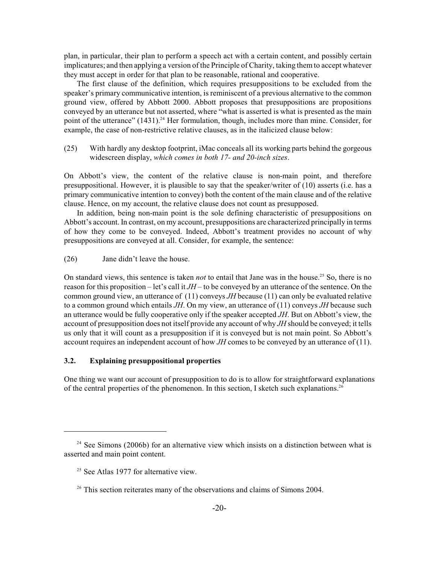plan, in particular, their plan to perform a speech act with a certain content, and possibly certain implicatures; and then applying a version of the Principle of Charity, taking them to accept whatever they must accept in order for that plan to be reasonable, rational and cooperative.

The first clause of the definition, which requires presuppositions to be excluded from the speaker's primary communicative intention, is reminiscent of a previous alternative to the common ground view, offered by Abbott 2000. Abbott proposes that presuppositions are propositions conveyed by an utterance but not asserted, where "what is asserted is what is presented as the main point of the utterance"  $(1431)^{24}$  Her formulation, though, includes more than mine. Consider, for example, the case of non-restrictive relative clauses, as in the italicized clause below:

(25) With hardly any desktop footprint, iMac conceals all its working parts behind the gorgeous widescreen display, *which comes in both 17- and 20-inch sizes*.

On Abbott's view, the content of the relative clause is non-main point, and therefore presuppositional. However, it is plausible to say that the speaker/writer of (10) asserts (i.e. has a primary communicative intention to convey) both the content of the main clause and of the relative clause. Hence, on my account, the relative clause does not count as presupposed.

In addition, being non-main point is the sole defining characteristic of presuppositions on Abbott's account. In contrast, on my account, presuppositions are characterized principally in terms of how they come to be conveyed. Indeed, Abbott's treatment provides no account of why presuppositions are conveyed at all. Consider, for example, the sentence:

(26) Jane didn't leave the house.

On standard views, this sentence is taken *not* to entail that Jane was in the house.<sup>25</sup> So, there is no reason for this proposition – let's call it *JH* – to be conveyed by an utterance of the sentence. On the common ground view, an utterance of (11) conveys *JH* because (11) can only be evaluated relative to a common ground which entails *JH*. On my view, an utterance of (11) conveys *JH* because such an utterance would be fully cooperative only if the speaker accepted *JH*. But on Abbott's view, the account of presupposition does not itself provide any account of why *JH* should be conveyed; it tells us only that it will count as a presupposition if it is conveyed but is not main point. So Abbott's account requires an independent account of how *JH* comes to be conveyed by an utterance of (11).

# **3.2. Explaining presuppositional properties**

One thing we want our account of presupposition to do is to allow for straightforward explanations of the central properties of the phenomenon. In this section, I sketch such explanations.<sup>26</sup>

 $24$  See Simons (2006b) for an alternative view which insists on a distinction between what is asserted and main point content.

 $25$  See Atlas 1977 for alternative view.

<sup>&</sup>lt;sup>26</sup> This section reiterates many of the observations and claims of Simons 2004.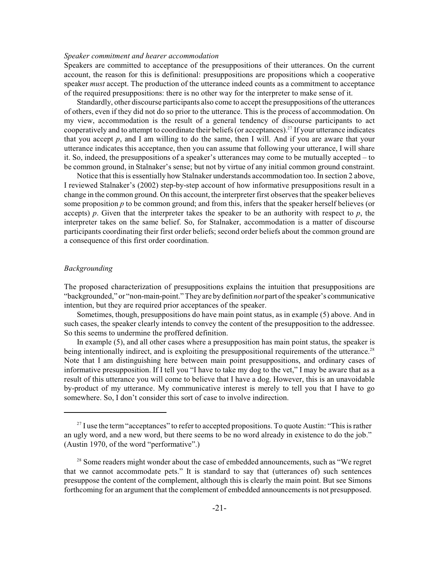#### *Speaker commitment and hearer accommodation*

Speakers are committed to acceptance of the presuppositions of their utterances. On the current account, the reason for this is definitional: presuppositions are propositions which a cooperative speaker *must* accept. The production of the utterance indeed counts as a commitment to acceptance of the required presuppositions: there is no other way for the interpreter to make sense of it.

Standardly, other discourse participants also come to accept the presuppositions of the utterances of others, even if they did not do so prior to the utterance. This is the process of accommodation. On my view, accommodation is the result of a general tendency of discourse participants to act cooperatively and to attempt to coordinate their beliefs (or acceptances).<sup>27</sup> If your utterance indicates that you accept  $p$ , and I am willing to do the same, then I will. And if you are aware that your utterance indicates this acceptance, then you can assume that following your utterance, I will share it. So, indeed, the presuppositions of a speaker's utterances may come to be mutually accepted – to be common ground, in Stalnaker's sense; but not by virtue of any initial common ground constraint.

Notice that this is essentially how Stalnaker understands accommodation too. In section 2 above, I reviewed Stalnaker's (2002) step-by-step account of how informative presuppositions result in a change in the common ground. On this account, the interpreter first observes that the speaker believes some proposition *p* to be common ground; and from this, infers that the speaker herself believes (or accepts)  $p$ . Given that the interpreter takes the speaker to be an authority with respect to  $p$ , the interpreter takes on the same belief. So, for Stalnaker, accommodation is a matter of discourse participants coordinating their first order beliefs; second order beliefs about the common ground are a consequence of this first order coordination.

#### *Backgrounding*

The proposed characterization of presuppositions explains the intuition that presuppositions are "backgrounded," or "non-main-point." They are by definition *not* part of the speaker's communicative intention, but they are required prior acceptances of the speaker.

Sometimes, though, presuppositions do have main point status, as in example (5) above. And in such cases, the speaker clearly intends to convey the content of the presupposition to the addressee. So this seems to undermine the proffered definition.

In example (5), and all other cases where a presupposition has main point status, the speaker is being intentionally indirect, and is exploiting the presuppositional requirements of the utterance.<sup>28</sup> Note that I am distinguishing here between main point presuppositions, and ordinary cases of informative presupposition. If I tell you "I have to take my dog to the vet," I may be aware that as a result of this utterance you will come to believe that I have a dog. However, this is an unavoidable by-product of my utterance. My communicative interest is merely to tell you that I have to go somewhere. So, I don't consider this sort of case to involve indirection.

 $2<sup>27</sup>$  I use the term "acceptances" to refer to accepted propositions. To quote Austin: "This is rather an ugly word, and a new word, but there seems to be no word already in existence to do the job." (Austin 1970, of the word "performative".)

 $2<sup>8</sup>$  Some readers might wonder about the case of embedded announcements, such as "We regret that we cannot accommodate pets." It is standard to say that (utterances of) such sentences presuppose the content of the complement, although this is clearly the main point. But see Simons forthcoming for an argument that the complement of embedded announcements is not presupposed.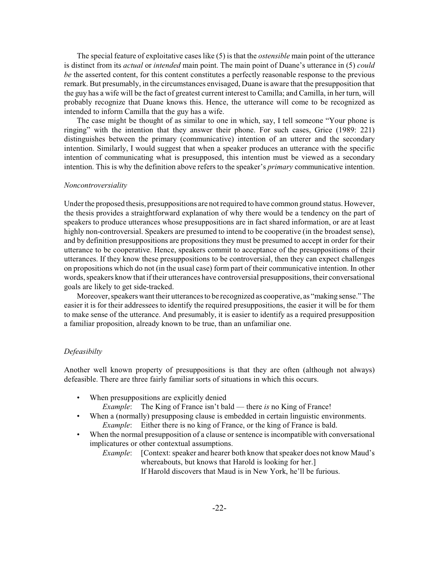The special feature of exploitative cases like (5) is that the *ostensible* main point of the utterance is distinct from its *actual* or *intended* main point. The main point of Duane's utterance in (5) *could be* the asserted content, for this content constitutes a perfectly reasonable response to the previous remark. But presumably, in the circumstances envisaged, Duane is aware that the presupposition that the guy has a wife will be the fact of greatest current interest to Camilla; and Camilla, in her turn, will probably recognize that Duane knows this. Hence, the utterance will come to be recognized as intended to inform Camilla that the guy has a wife.

The case might be thought of as similar to one in which, say, I tell someone "Your phone is ringing" with the intention that they answer their phone. For such cases, Grice (1989: 221) distinguishes between the primary (communicative) intention of an utterer and the secondary intention. Similarly, I would suggest that when a speaker produces an utterance with the specific intention of communicating what is presupposed, this intention must be viewed as a secondary intention. This is why the definition above refers to the speaker's *primary* communicative intention.

#### *Noncontroversiality*

Under the proposed thesis, presuppositions are not required to have common ground status. However, the thesis provides a straightforward explanation of why there would be a tendency on the part of speakers to produce utterances whose presuppositions are in fact shared information, or are at least highly non-controversial. Speakers are presumed to intend to be cooperative (in the broadest sense), and by definition presuppositions are propositions they must be presumed to accept in order for their utterance to be cooperative. Hence, speakers commit to acceptance of the presuppositions of their utterances. If they know these presuppositions to be controversial, then they can expect challenges on propositions which do not (in the usual case) form part of their communicative intention. In other words, speakers knowthat if their utterances have controversial presuppositions, their conversational goals are likely to get side-tracked.

Moreover, speakers want their utterances to be recognized as cooperative, as "making sense." The easier it is for their addressees to identify the required presuppositions, the easier it will be for them to make sense of the utterance. And presumably, it is easier to identify as a required presupposition a familiar proposition, already known to be true, than an unfamiliar one.

## *Defeasibilty*

Another well known property of presuppositions is that they are often (although not always) defeasible. There are three fairly familiar sorts of situations in which this occurs.

- When presuppositions are explicitly denied
	- *Example*: The King of France isn't bald there *is* no King of France!
- When a (normally) presupposing clause is embedded in certain linguistic environments. *Example*: Either there is no king of France, or the king of France is bald.
- When the normal presupposition of a clause or sentence is incompatible with conversational implicatures or other contextual assumptions.

*Example*: [Context: speaker and hearer both know that speaker does not know Maud's whereabouts, but knows that Harold is looking for her.] If Harold discovers that Maud is in New York, he'll be furious.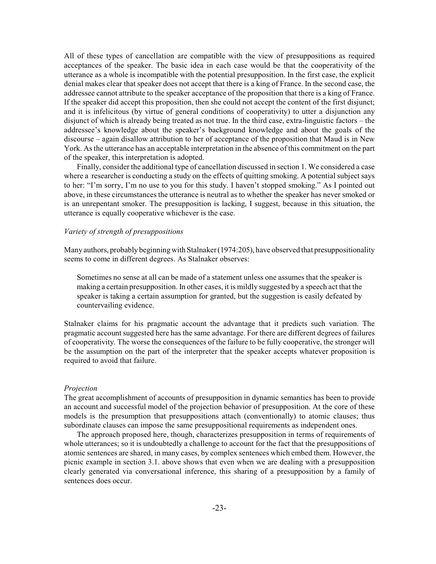All of these types of cancellation are compatible with the view of presuppositions as required acceptances of the speaker. The basic idea in each case would be that the cooperativity of the utterance as a whole is incompatible with the potential presupposition. In the first case, the explicit denial makes clear that speaker does not accept that there is a king of France. In the second case, the addressee cannot attribute to the speaker acceptance of the proposition that there is a king of France. If the speaker did accept this proposition, then she could not accept the content of the first disjunct; and it is infelicitous (by virtue of general conditions of cooperativity) to utter a disjunction any disjunct of which is already being treated as not true. In the third case, extra-linguistic factors – the addressee's knowledge about the speaker's background knowledge and about the goals of the discourse – again disallow attribution to her of acceptance of the proposition that Maud is in New York. As the utterance has an acceptable interpretation in the absence of this commitment on the part of the speaker, this interpretation is adopted.

Finally, consider the additional type of cancellation discussed in section 1. We considered a case where a researcher is conducting a study on the effects of quitting smoking. A potential subject says to her: "I'm sorry, I'm no use to you for this study. I haven't stopped smoking." As I pointed out above, in these circumstances the utterance is neutral as to whether the speaker has never smoked or is an unrepentant smoker. The presupposition is lacking, I suggest, because in this situation, the utterance is equally cooperative whichever is the case.

## *Variety of strength of presuppositions*

Many authors, probably beginning with Stalnaker(1974:205), have observed that presuppositionality seems to come in different degrees. As Stalnaker observes:

Sometimes no sense at all can be made of a statement unless one assumes that the speaker is making a certain presupposition. In other cases, it is mildly suggested by a speech act that the speaker is taking a certain assumption for granted, but the suggestion is easily defeated by countervailing evidence.

Stalnaker claims for his pragmatic account the advantage that it predicts such variation. The pragmatic account suggested here has the same advantage. For there are different degrees of failures of cooperativity. The worse the consequences of the failure to be fully cooperative, the stronger will be the assumption on the part of the interpreter that the speaker accepts whatever proposition is required to avoid that failure.

#### *Projection*

The great accomplishment of accounts of presupposition in dynamic semantics has been to provide an account and successful model of the projection behavior of presupposition. At the core of these models is the presumption that presuppositions attach (conventionally) to atomic clauses; thus subordinate clauses can impose the same presuppositional requirements as independent ones.

The approach proposed here, though, characterizes presupposition in terms of requirements of whole utterances; so it is undoubtedly a challenge to account for the fact that the presuppositions of atomic sentences are shared, in many cases, by complex sentences which embed them. However, the picnic example in section 3.1. above shows that even when we are dealing with a presupposition clearly generated via conversational inference, this sharing of a presupposition by a family of sentences does occur.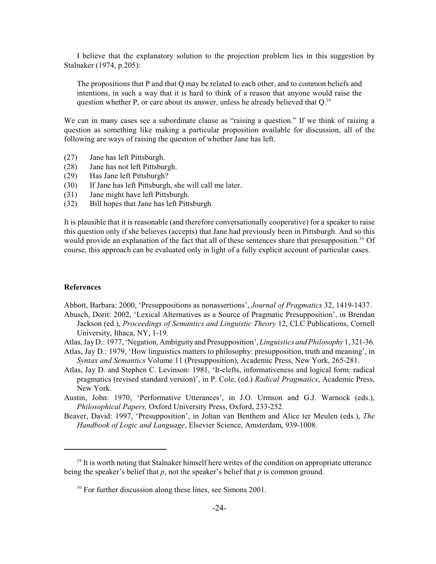I believe that the explanatory solution to the projection problem lies in this suggestion by Stalnaker (1974, p.205):

The propositions that P and that Q may be related to each other, and to common beliefs and intentions, in such a way that it is hard to think of a reason that anyone would raise the question whether P, or care about its answer, unless he already believed that Q.<sup>29</sup>

We can in many cases see a subordinate clause as "raising a question." If we think of raising a question as something like making a particular proposition available for discussion, all of the following are ways of raising the question of whether Jane has left.

- (27) Jane has left Pittsburgh.
- (28) Jane has not left Pittsburgh.
- (29) Has Jane left Pittsburgh?
- (30) If Jane has left Pittsburgh, she will call me later.
- (31) Jane might have left Pittsburgh.
- (32) Bill hopes that Jane has left Pittsburgh.

It is plausible that it is reasonable (and therefore conversationally cooperative) for a speaker to raise this question only if she believes (accepts) that Jane had previously been in Pittsburgh. And so this would provide an explanation of the fact that all of these sentences share that presupposition.<sup>30</sup> Of course, this approach can be evaluated only in light of a fully explicit account of particular cases.

### **References**

Abbott, Barbara: 2000, 'Presuppositions as nonassertions', *Journal of Pragmatics* 32, 1419-1437.

- Abusch, Dorit: 2002, 'Lexical Alternatives as a Source of Pragmatic Presupposition', in Brendan Jackson (ed.), *Proceedings of Semantics and Linguistic Theory* 12, CLC Publications, Cornell University, Ithaca, NY, 1-19.
- Atlas, Jay D.: 1977, 'Negation, Ambiguity and Presupposition',*Linguistics and Philosophy* 1, 321-36.
- Atlas, Jay D.: 1979, 'How linguistics matters to philosophy: presupposition, truth and meaning', in *Syntax and Semantics* Volume 11 (Presupposition), Academic Press, New York, 265-281.
- Atlas, Jay D. and Stephen C. Levinson: 1981, 'It-clefts, informativeness and logical form: radical pragmatics (revised standard version)', in P. Cole, (ed.) *Radical Pragmatics*, Academic Press, New York.
- Austin, John: 1970, 'Performative Utterances', in J.O. Urmson and G.J. Warnock (eds.), *Philosophical Papers,* Oxford University Press, Oxford, 233-252.
- Beaver, David: 1997, 'Presupposition', in Johan van Benthem and Alice ter Meulen (eds.), *The Handbook of Logic and Language*, Elsevier Science, Amsterdam, 939-1008.

 $29$  It is worth noting that Stalnaker himself here writes of the condition on appropriate utterance being the speaker's belief that *p*, not the speaker's belief that *p* is common ground.

<sup>&</sup>lt;sup>30</sup> For further discussion along these lines, see Simons 2001.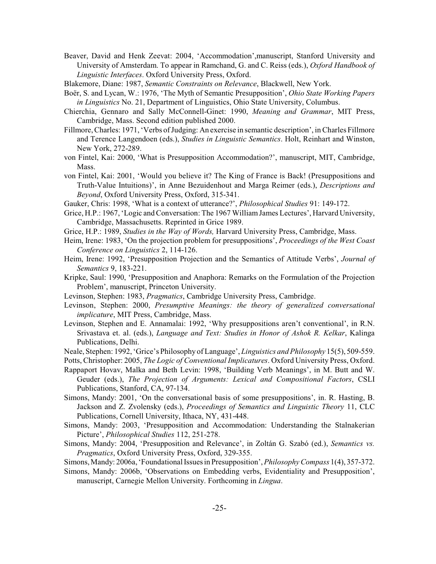- Beaver, David and Henk Zeevat: 2004, 'Accommodation',manuscript, Stanford University and University of Amsterdam. To appear in Ramchand, G. and C. Reiss (eds.), *Oxford Handbook of Linguistic Interfaces*. Oxford University Press, Oxford.
- Blakemore, Diane: 1987, *Semantic Constraints on Relevance*, Blackwell, New York.
- Boër, S. and Lycan, W.: 1976, 'The Myth of Semantic Presupposition', *Ohio State Working Papers in Linguistics* No. 21, Department of Linguistics, Ohio State University, Columbus.
- Chierchia, Gennaro and Sally McConnell-Ginet: 1990, *Meaning and Grammar*, MIT Press, Cambridge, Mass. Second edition published 2000.
- Fillmore, Charles: 1971, 'Verbs of Judging: An exercise in semantic description', in Charles Fillmore and Terence Langendoen (eds.), *Studies in Linguistic Semantics*. Holt, Reinhart and Winston, New York, 272-289.
- von Fintel, Kai: 2000, 'What is Presupposition Accommodation?', manuscript, MIT, Cambridge, Mass.
- von Fintel, Kai: 2001, 'Would you believe it? The King of France is Back! (Presuppositions and Truth-Value Intuitions)', in Anne Bezuidenhout and Marga Reimer (eds.), *Descriptions and Beyond*, Oxford University Press, Oxford, 315-341.
- Gauker, Chris: 1998, 'What is a context of utterance?', *Philosophical Studies* 91: 149-172.
- Grice, H.P.: 1967, 'Logic and Conversation: The 1967 William James Lectures', Harvard University, Cambridge, Massachusetts. Reprinted in Grice 1989.
- Grice, H.P.: 1989, *Studies in the Way of Words,* Harvard University Press, Cambridge, Mass.
- Heim, Irene: 1983, 'On the projection problem for presuppositions', *Proceedings of the West Coast Conference on Linguistics* 2, 114-126.
- Heim, Irene: 1992, 'Presupposition Projection and the Semantics of Attitude Verbs', *Journal of Semantics* 9, 183-221.
- Kripke, Saul: 1990, 'Presupposition and Anaphora: Remarks on the Formulation of the Projection Problem', manuscript, Princeton University.
- Levinson, Stephen: 1983, *Pragmatics*, Cambridge University Press, Cambridge.
- Levinson, Stephen: 2000, *Presumptive Meanings: the theory of generalized conversational implicature*, MIT Press, Cambridge, Mass.
- Levinson, Stephen and E. Annamalai: 1992, 'Why presuppositions aren't conventional', in R.N. Srivastava et. al. (eds.), *Language and Text: Studies in Honor of Ashok R. Kelkar*, Kalinga Publications, Delhi.
- Neale, Stephen: 1992, 'Grice's Philosophy of Language', *Linguistics and Philosophy* 15(5), 509-559.
- Potts, Christopher: 2005, *The Logic of Conventional Implicatures*. Oxford University Press, Oxford.
- Rappaport Hovav, Malka and Beth Levin: 1998, 'Building Verb Meanings', in M. Butt and W. Geuder (eds.), *The Projection of Arguments: Lexical and Compositional Factors*, CSLI Publications, Stanford, CA, 97-134.
- Simons, Mandy: 2001, 'On the conversational basis of some presuppositions', in. R. Hasting, B. Jackson and Z. Zvolensky (eds.), *Proceedings of Semantics and Linguistic Theory* 11, CLC Publications, Cornell University, Ithaca, NY, 431-448.
- Simons, Mandy: 2003, 'Presupposition and Accommodation: Understanding the Stalnakerian Picture', *Philosophical Studies* 112, 251-278.
- Simons, Mandy: 2004, 'Presupposition and Relevance', in Zoltán G. Szabó (ed.), *Semantics vs. Pragmatics*, Oxford University Press, Oxford, 329-355.

Simons, Mandy: 2006a, 'Foundational Issues in Presupposition',*Philosophy Compass* 1(4), 357-372.

Simons, Mandy: 2006b, 'Observations on Embedding verbs, Evidentiality and Presupposition', manuscript, Carnegie Mellon University. Forthcoming in *Lingua*.